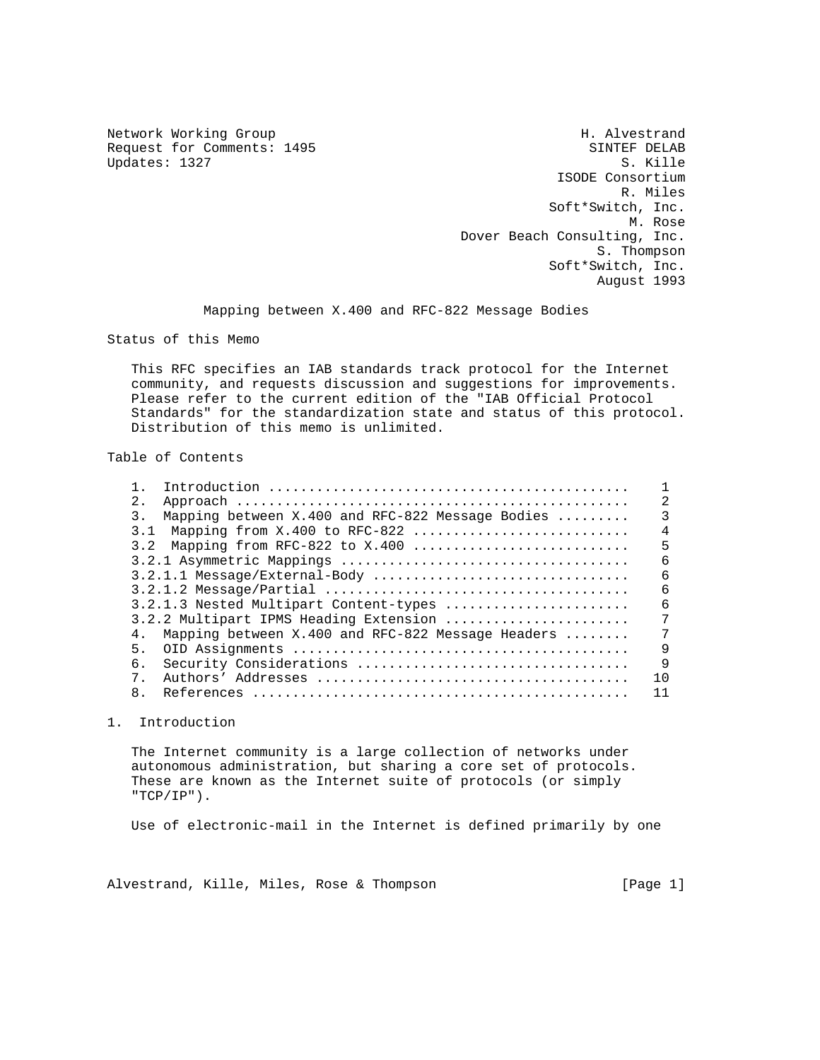Updates: 1327

Network Working Group Network More Sharehouse H. Alvestrand Request for Comments: 1495 SINTEF DELAB<br>Updates: 1327 S. Kille ISODE Consortium R. Miles Soft\*Switch, Inc. M. Rose Dover Beach Consulting, Inc. S. Thompson Soft\*Switch, Inc. August 1993

Mapping between X.400 and RFC-822 Message Bodies

Status of this Memo

 This RFC specifies an IAB standards track protocol for the Internet community, and requests discussion and suggestions for improvements. Please refer to the current edition of the "IAB Official Protocol Standards" for the standardization state and status of this protocol. Distribution of this memo is unlimited.

## Table of Contents

| $2$ .                                                                     | 2              |
|---------------------------------------------------------------------------|----------------|
| Mapping between X.400 and RFC-822 Message Bodies<br>3.                    |                |
| 3.1 Mapping from $X.400$ to RFC-822                                       | $\overline{4}$ |
| 3.2 Mapping from RFC-822 to X.400                                         | 5              |
|                                                                           | 6              |
| $3.2.1.1$ Message/External-Body                                           | 6              |
|                                                                           | 6              |
| 3.2.1.3 Nested Multipart Content-types                                    | 6              |
| 3.2.2 Multipart IPMS Heading Extension                                    | 7              |
| Mapping between $X.400$ and RFC-822 Message Headers $\ldots \ldots$<br>4. | 7              |
| 5.                                                                        | 9              |
| 6.                                                                        | 9              |
| $7^{\circ}$                                                               | 1 <sub>0</sub> |
| 8 <sub>1</sub>                                                            | 11             |

## 1. Introduction

 The Internet community is a large collection of networks under autonomous administration, but sharing a core set of protocols. These are known as the Internet suite of protocols (or simply "TCP/IP").

Use of electronic-mail in the Internet is defined primarily by one

Alvestrand, Kille, Miles, Rose & Thompson [Page 1]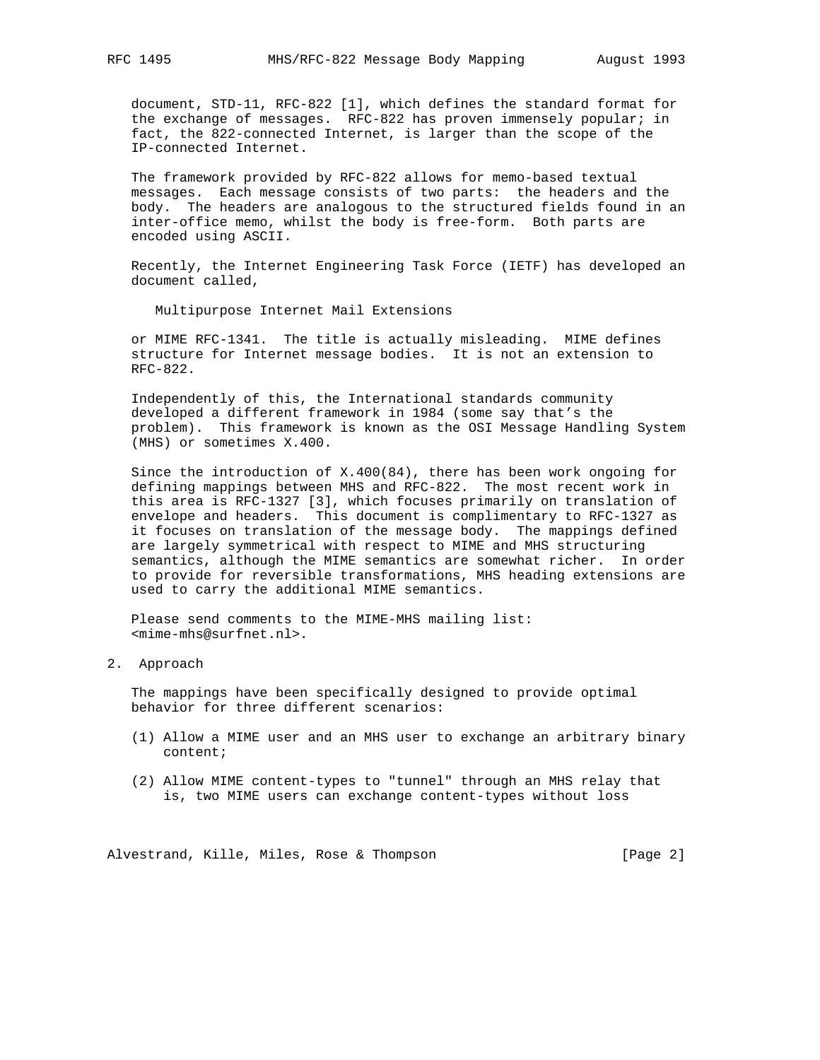document, STD-11, RFC-822 [1], which defines the standard format for the exchange of messages. RFC-822 has proven immensely popular; in fact, the 822-connected Internet, is larger than the scope of the IP-connected Internet.

 The framework provided by RFC-822 allows for memo-based textual messages. Each message consists of two parts: the headers and the body. The headers are analogous to the structured fields found in an inter-office memo, whilst the body is free-form. Both parts are encoded using ASCII.

 Recently, the Internet Engineering Task Force (IETF) has developed an document called,

Multipurpose Internet Mail Extensions

 or MIME RFC-1341. The title is actually misleading. MIME defines structure for Internet message bodies. It is not an extension to RFC-822.

 Independently of this, the International standards community developed a different framework in 1984 (some say that's the problem). This framework is known as the OSI Message Handling System (MHS) or sometimes X.400.

 Since the introduction of X.400(84), there has been work ongoing for defining mappings between MHS and RFC-822. The most recent work in this area is RFC-1327 [3], which focuses primarily on translation of envelope and headers. This document is complimentary to RFC-1327 as it focuses on translation of the message body. The mappings defined are largely symmetrical with respect to MIME and MHS structuring semantics, although the MIME semantics are somewhat richer. In order to provide for reversible transformations, MHS heading extensions are used to carry the additional MIME semantics.

 Please send comments to the MIME-MHS mailing list: <mime-mhs@surfnet.nl>.

2. Approach

 The mappings have been specifically designed to provide optimal behavior for three different scenarios:

- (1) Allow a MIME user and an MHS user to exchange an arbitrary binary content;
- (2) Allow MIME content-types to "tunnel" through an MHS relay that is, two MIME users can exchange content-types without loss

Alvestrand, Kille, Miles, Rose & Thompson [Page 2]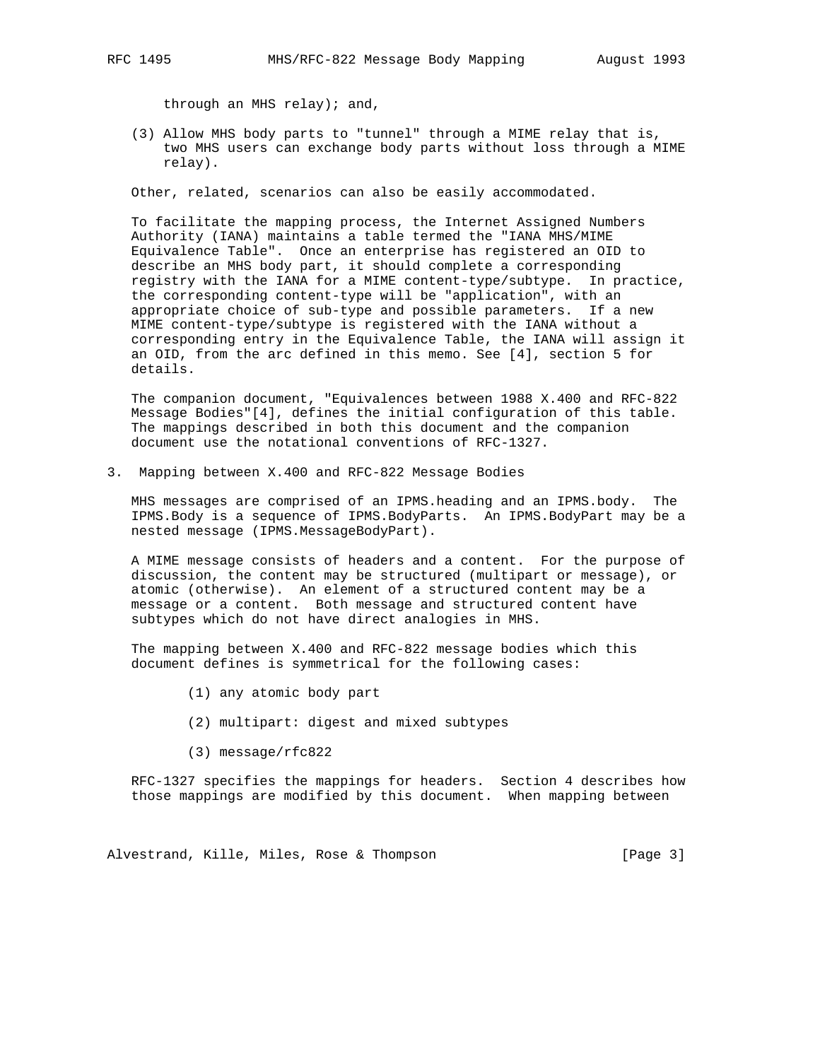through an MHS relay); and,

 (3) Allow MHS body parts to "tunnel" through a MIME relay that is, two MHS users can exchange body parts without loss through a MIME relay).

Other, related, scenarios can also be easily accommodated.

 To facilitate the mapping process, the Internet Assigned Numbers Authority (IANA) maintains a table termed the "IANA MHS/MIME Equivalence Table". Once an enterprise has registered an OID to describe an MHS body part, it should complete a corresponding registry with the IANA for a MIME content-type/subtype. In practice, the corresponding content-type will be "application", with an appropriate choice of sub-type and possible parameters. If a new MIME content-type/subtype is registered with the IANA without a corresponding entry in the Equivalence Table, the IANA will assign it an OID, from the arc defined in this memo. See [4], section 5 for details.

 The companion document, "Equivalences between 1988 X.400 and RFC-822 Message Bodies"[4], defines the initial configuration of this table. The mappings described in both this document and the companion document use the notational conventions of RFC-1327.

3. Mapping between X.400 and RFC-822 Message Bodies

 MHS messages are comprised of an IPMS.heading and an IPMS.body. The IPMS.Body is a sequence of IPMS.BodyParts. An IPMS.BodyPart may be a nested message (IPMS.MessageBodyPart).

 A MIME message consists of headers and a content. For the purpose of discussion, the content may be structured (multipart or message), or atomic (otherwise). An element of a structured content may be a message or a content. Both message and structured content have subtypes which do not have direct analogies in MHS.

 The mapping between X.400 and RFC-822 message bodies which this document defines is symmetrical for the following cases:

- (1) any atomic body part
- (2) multipart: digest and mixed subtypes
- (3) message/rfc822

 RFC-1327 specifies the mappings for headers. Section 4 describes how those mappings are modified by this document. When mapping between

Alvestrand, Kille, Miles, Rose & Thompson [Page 3]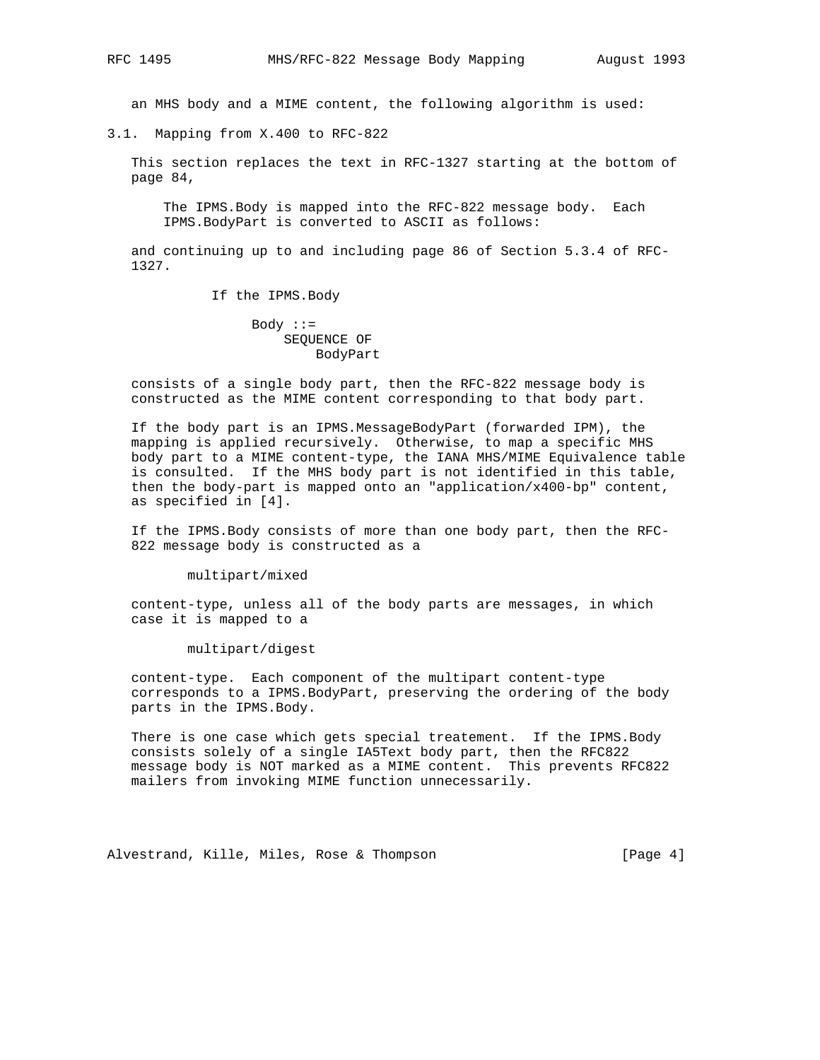an MHS body and a MIME content, the following algorithm is used:

3.1. Mapping from X.400 to RFC-822

 This section replaces the text in RFC-1327 starting at the bottom of page 84,

 The IPMS.Body is mapped into the RFC-822 message body. Each IPMS.BodyPart is converted to ASCII as follows:

 and continuing up to and including page 86 of Section 5.3.4 of RFC- 1327.

If the IPMS.Body

 $Body : :=$  SEQUENCE OF BodyPart

 consists of a single body part, then the RFC-822 message body is constructed as the MIME content corresponding to that body part.

 If the body part is an IPMS.MessageBodyPart (forwarded IPM), the mapping is applied recursively. Otherwise, to map a specific MHS body part to a MIME content-type, the IANA MHS/MIME Equivalence table is consulted. If the MHS body part is not identified in this table, then the body-part is mapped onto an "application/x400-bp" content, as specified in [4].

 If the IPMS.Body consists of more than one body part, then the RFC- 822 message body is constructed as a

multipart/mixed

 content-type, unless all of the body parts are messages, in which case it is mapped to a

multipart/digest

 content-type. Each component of the multipart content-type corresponds to a IPMS.BodyPart, preserving the ordering of the body parts in the IPMS.Body.

 There is one case which gets special treatement. If the IPMS.Body consists solely of a single IA5Text body part, then the RFC822 message body is NOT marked as a MIME content. This prevents RFC822 mailers from invoking MIME function unnecessarily.

Alvestrand, Kille, Miles, Rose & Thompson [Page 4]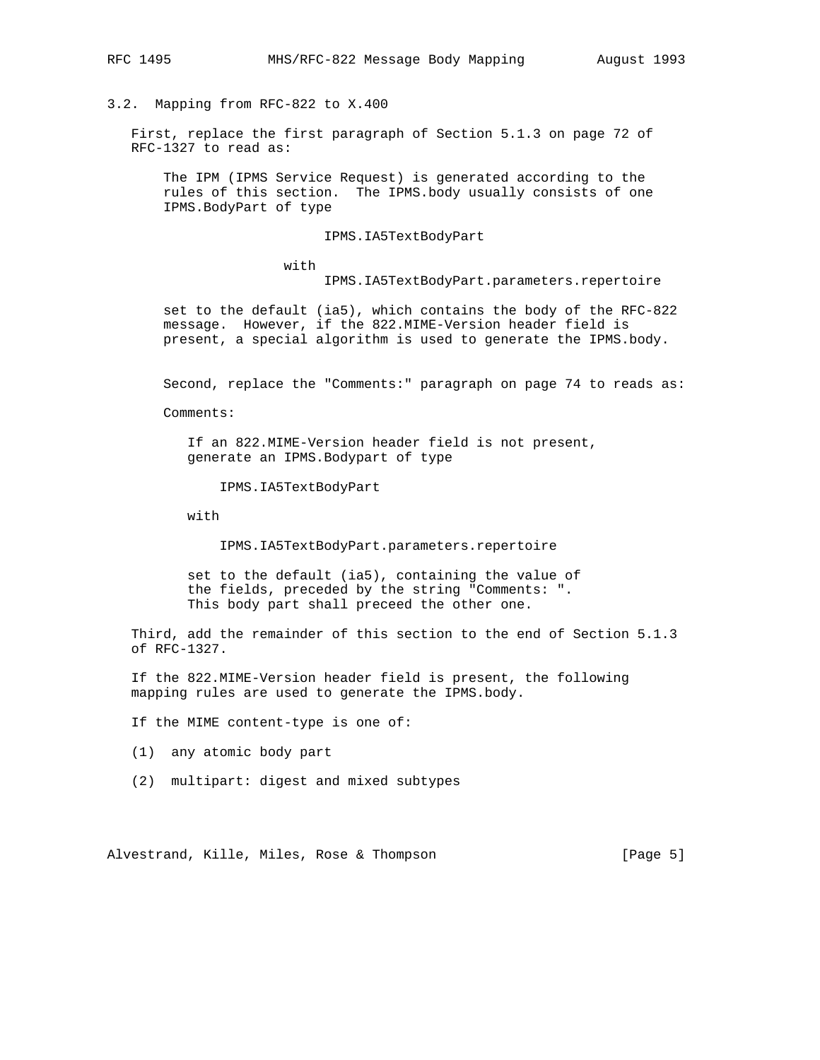3.2. Mapping from RFC-822 to X.400

 First, replace the first paragraph of Section 5.1.3 on page 72 of RFC-1327 to read as:

 The IPM (IPMS Service Request) is generated according to the rules of this section. The IPMS.body usually consists of one IPMS.BodyPart of type

## IPMS.IA5TextBodyPart

with

IPMS.IA5TextBodyPart.parameters.repertoire

 set to the default (ia5), which contains the body of the RFC-822 message. However, if the 822.MIME-Version header field is present, a special algorithm is used to generate the IPMS.body.

Second, replace the "Comments:" paragraph on page 74 to reads as:

Comments:

 If an 822.MIME-Version header field is not present, generate an IPMS.Bodypart of type

IPMS.IA5TextBodyPart

with

IPMS.IA5TextBodyPart.parameters.repertoire

 set to the default (ia5), containing the value of the fields, preceded by the string "Comments: ". This body part shall preceed the other one.

 Third, add the remainder of this section to the end of Section 5.1.3 of RFC-1327.

 If the 822.MIME-Version header field is present, the following mapping rules are used to generate the IPMS.body.

If the MIME content-type is one of:

- (1) any atomic body part
- (2) multipart: digest and mixed subtypes

Alvestrand, Kille, Miles, Rose & Thompson [Page 5]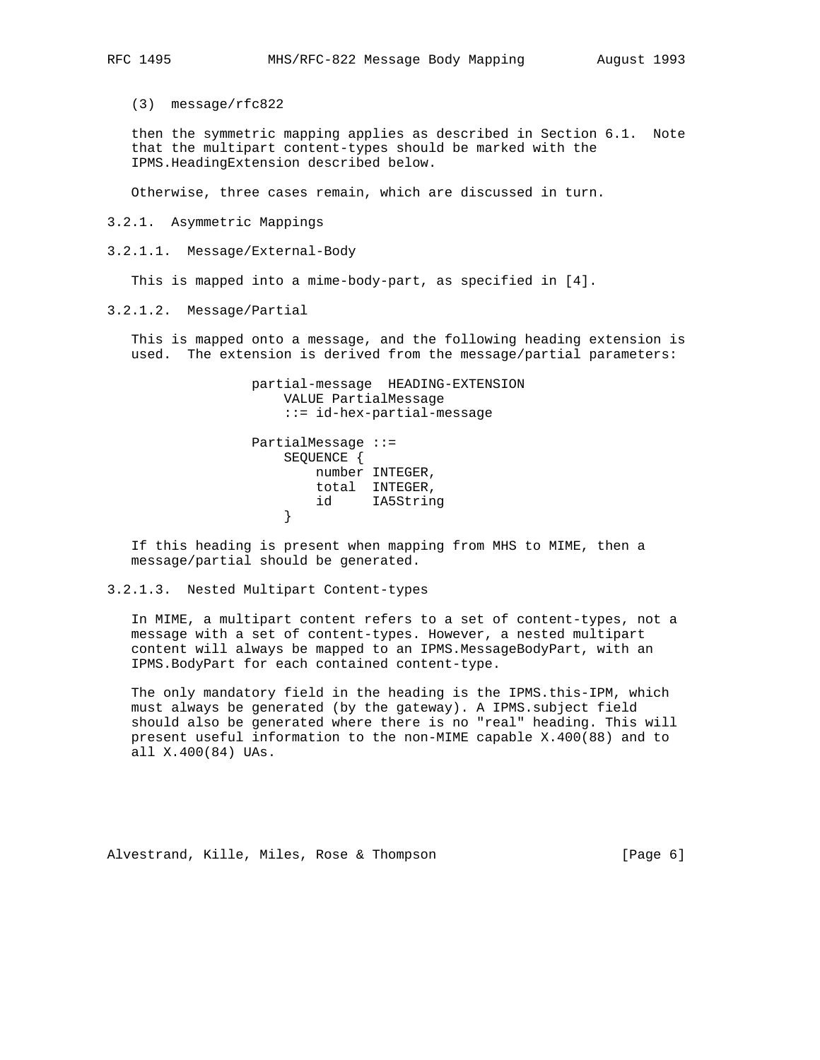(3) message/rfc822

 then the symmetric mapping applies as described in Section 6.1. Note that the multipart content-types should be marked with the IPMS.HeadingExtension described below.

Otherwise, three cases remain, which are discussed in turn.

3.2.1. Asymmetric Mappings

3.2.1.1. Message/External-Body

This is mapped into a mime-body-part, as specified in [4].

3.2.1.2. Message/Partial

 This is mapped onto a message, and the following heading extension is used. The extension is derived from the message/partial parameters:

 partial-message HEADING-EXTENSION VALUE PartialMessage ::= id-hex-partial-message PartialMessage ::= SEQUENCE { number INTEGER, total INTEGER, id IA5String<br>} }

 If this heading is present when mapping from MHS to MIME, then a message/partial should be generated.

3.2.1.3. Nested Multipart Content-types

 In MIME, a multipart content refers to a set of content-types, not a message with a set of content-types. However, a nested multipart content will always be mapped to an IPMS.MessageBodyPart, with an IPMS.BodyPart for each contained content-type.

 The only mandatory field in the heading is the IPMS.this-IPM, which must always be generated (by the gateway). A IPMS.subject field should also be generated where there is no "real" heading. This will present useful information to the non-MIME capable X.400(88) and to all X.400(84) UAs.

Alvestrand, Kille, Miles, Rose & Thompson [Page 6]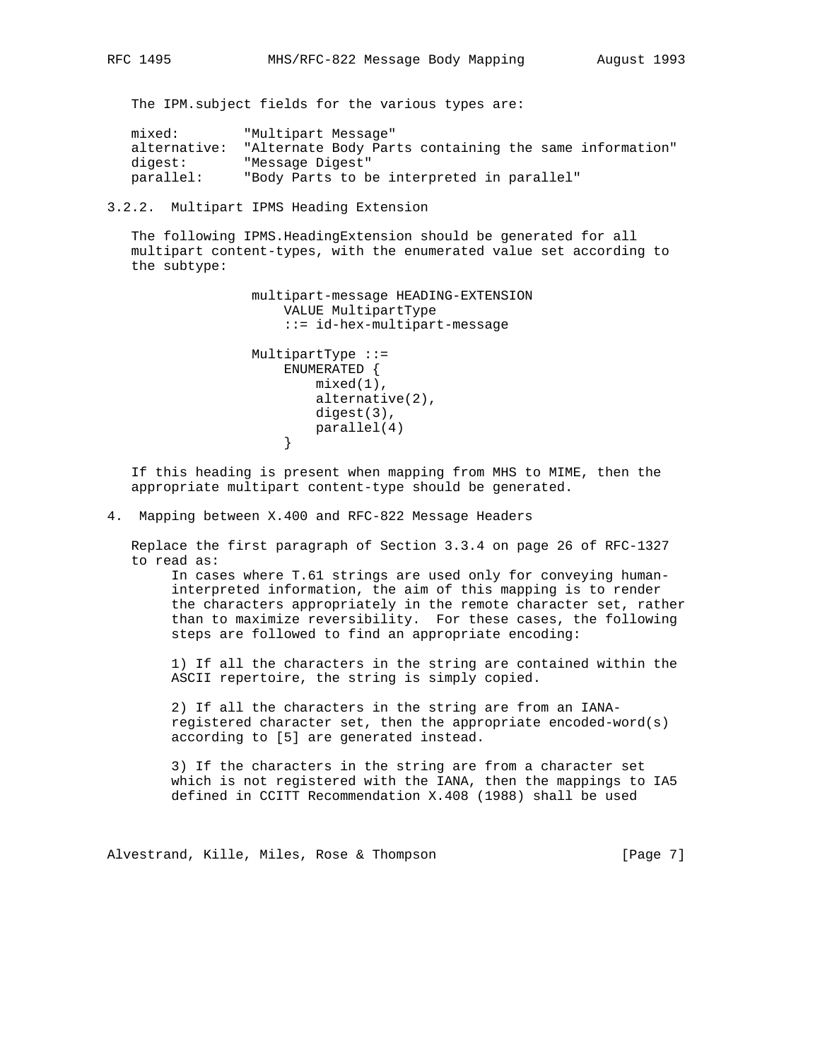The IPM.subject fields for the various types are:

| mixed:       | "Multipart Message"                                    |
|--------------|--------------------------------------------------------|
| alternative: | "Alternate Body Parts containing the same information" |
| digest:      | "Message Digest"                                       |
| parallel:    | "Body Parts to be interpreted in parallel"             |

3.2.2. Multipart IPMS Heading Extension

 The following IPMS.HeadingExtension should be generated for all multipart content-types, with the enumerated value set according to the subtype:

```
 multipart-message HEADING-EXTENSION
    VALUE MultipartType
    ::= id-hex-multipart-message
MultipartType ::=
```

```
 ENUMERATED {
                    mixed(1),
                     alternative(2),
                     digest(3),
                 parallel(4)<br>}
}
```
 If this heading is present when mapping from MHS to MIME, then the appropriate multipart content-type should be generated.

4. Mapping between X.400 and RFC-822 Message Headers

 Replace the first paragraph of Section 3.3.4 on page 26 of RFC-1327 to read as:

 In cases where T.61 strings are used only for conveying human interpreted information, the aim of this mapping is to render the characters appropriately in the remote character set, rather than to maximize reversibility. For these cases, the following steps are followed to find an appropriate encoding:

 1) If all the characters in the string are contained within the ASCII repertoire, the string is simply copied.

 2) If all the characters in the string are from an IANA registered character set, then the appropriate encoded-word(s) according to [5] are generated instead.

 3) If the characters in the string are from a character set which is not registered with the IANA, then the mappings to IA5 defined in CCITT Recommendation X.408 (1988) shall be used

Alvestrand, Kille, Miles, Rose & Thompson [Page 7]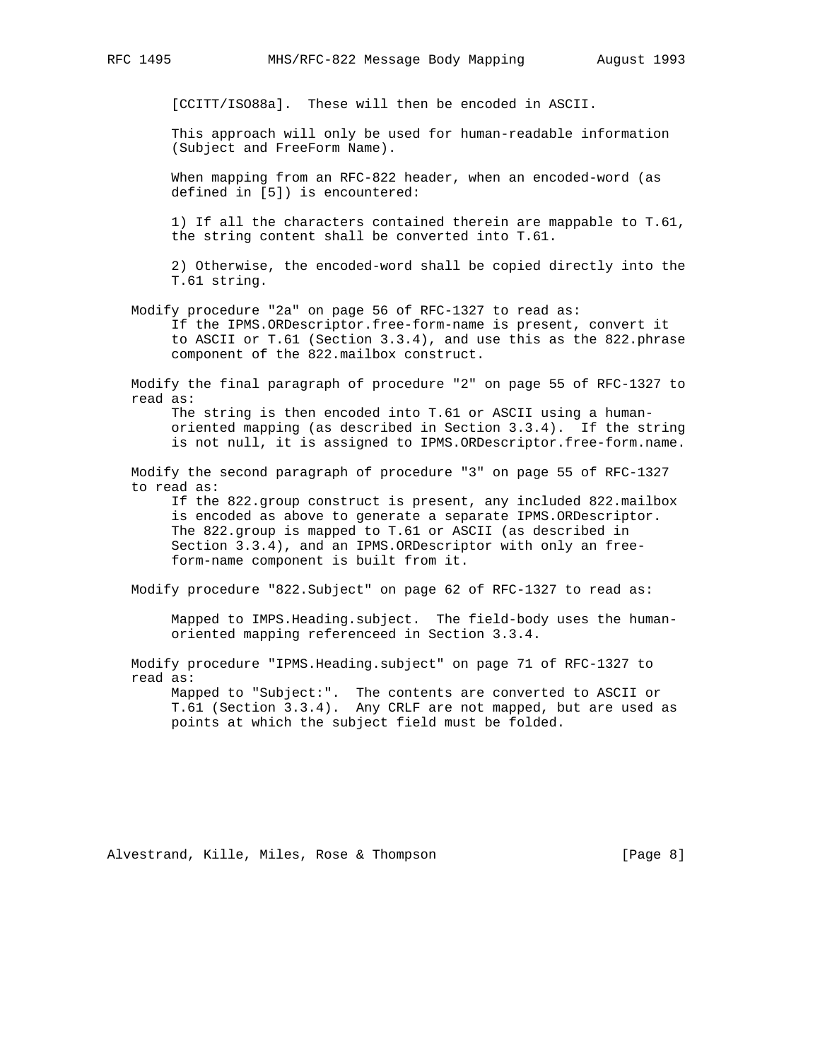[CCITT/ISO88a]. These will then be encoded in ASCII.

 This approach will only be used for human-readable information (Subject and FreeForm Name).

 When mapping from an RFC-822 header, when an encoded-word (as defined in [5]) is encountered:

 1) If all the characters contained therein are mappable to T.61, the string content shall be converted into T.61.

 2) Otherwise, the encoded-word shall be copied directly into the T.61 string.

 Modify procedure "2a" on page 56 of RFC-1327 to read as: If the IPMS.ORDescriptor.free-form-name is present, convert it to ASCII or T.61 (Section 3.3.4), and use this as the 822.phrase component of the 822.mailbox construct.

 Modify the final paragraph of procedure "2" on page 55 of RFC-1327 to read as:

 The string is then encoded into T.61 or ASCII using a human oriented mapping (as described in Section 3.3.4). If the string is not null, it is assigned to IPMS.ORDescriptor.free-form.name.

 Modify the second paragraph of procedure "3" on page 55 of RFC-1327 to read as:

 If the 822.group construct is present, any included 822.mailbox is encoded as above to generate a separate IPMS.ORDescriptor. The 822.group is mapped to T.61 or ASCII (as described in Section 3.3.4), and an IPMS.ORDescriptor with only an free form-name component is built from it.

Modify procedure "822. Subject" on page 62 of RFC-1327 to read as:

 Mapped to IMPS.Heading.subject. The field-body uses the human oriented mapping referenceed in Section 3.3.4.

 Modify procedure "IPMS.Heading.subject" on page 71 of RFC-1327 to read as:

 Mapped to "Subject:". The contents are converted to ASCII or T.61 (Section 3.3.4). Any CRLF are not mapped, but are used as points at which the subject field must be folded.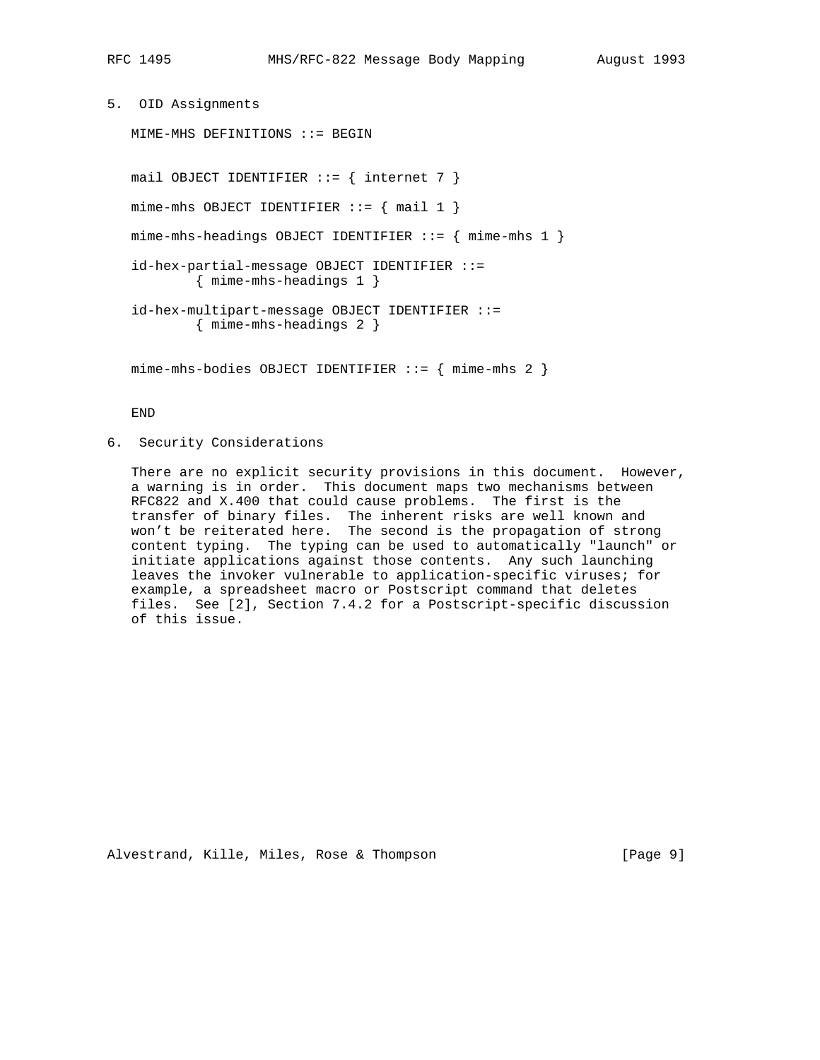```
5. OID Assignments
```
MIME-MHS DEFINITIONS ::= BEGIN

mail OBJECT IDENTIFIER  $::= \{$  internet 7  $\}$  mime-mhs OBJECT IDENTIFIER ::= { mail 1 } mime-mhs-headings OBJECT IDENTIFIER  $::=$  { mime-mhs 1 } id-hex-partial-message OBJECT IDENTIFIER ::= { mime-mhs-headings 1 } id-hex-multipart-message OBJECT IDENTIFIER ::= { mime-mhs-headings 2 }

mime-mhs-bodies OBJECT IDENTIFIER ::= { mime-mhs 2 }

END

6. Security Considerations

 There are no explicit security provisions in this document. However, a warning is in order. This document maps two mechanisms between RFC822 and X.400 that could cause problems. The first is the transfer of binary files. The inherent risks are well known and won't be reiterated here. The second is the propagation of strong content typing. The typing can be used to automatically "launch" or initiate applications against those contents. Any such launching leaves the invoker vulnerable to application-specific viruses; for example, a spreadsheet macro or Postscript command that deletes files. See [2], Section 7.4.2 for a Postscript-specific discussion of this issue.

Alvestrand, Kille, Miles, Rose & Thompson [Page 9]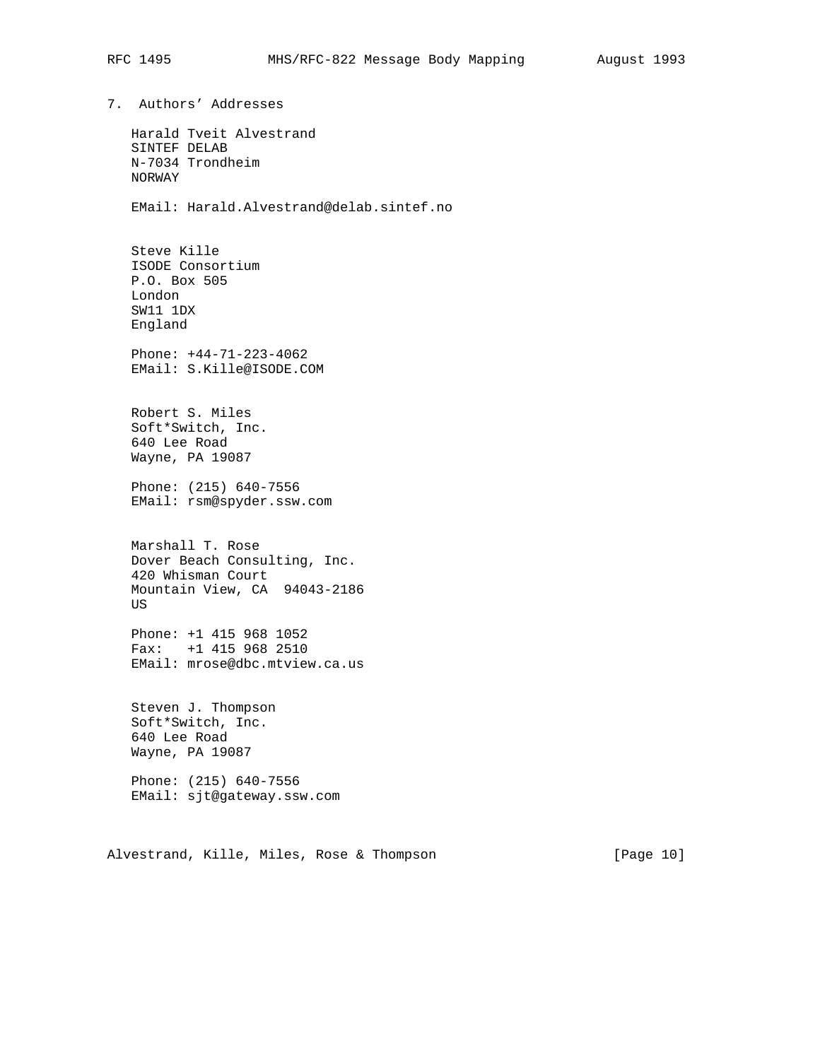7. Authors' Addresses Harald Tveit Alvestrand SINTEF DELAB N-7034 Trondheim NORWAY EMail: Harald.Alvestrand@delab.sintef.no Steve Kille ISODE Consortium P.O. Box 505 London SW11 1DX England Phone: +44-71-223-4062 EMail: S.Kille@ISODE.COM Robert S. Miles Soft\*Switch, Inc. 640 Lee Road Wayne, PA 19087 Phone: (215) 640-7556 EMail: rsm@spyder.ssw.com Marshall T. Rose Dover Beach Consulting, Inc. 420 Whisman Court Mountain View, CA 94043-2186 US Phone: +1 415 968 1052 Fax: +1 415 968 2510 EMail: mrose@dbc.mtview.ca.us Steven J. Thompson Soft\*Switch, Inc. 640 Lee Road Wayne, PA 19087 Phone: (215) 640-7556 EMail: sjt@gateway.ssw.com

Alvestrand, Kille, Miles, Rose & Thompson [Page 10]